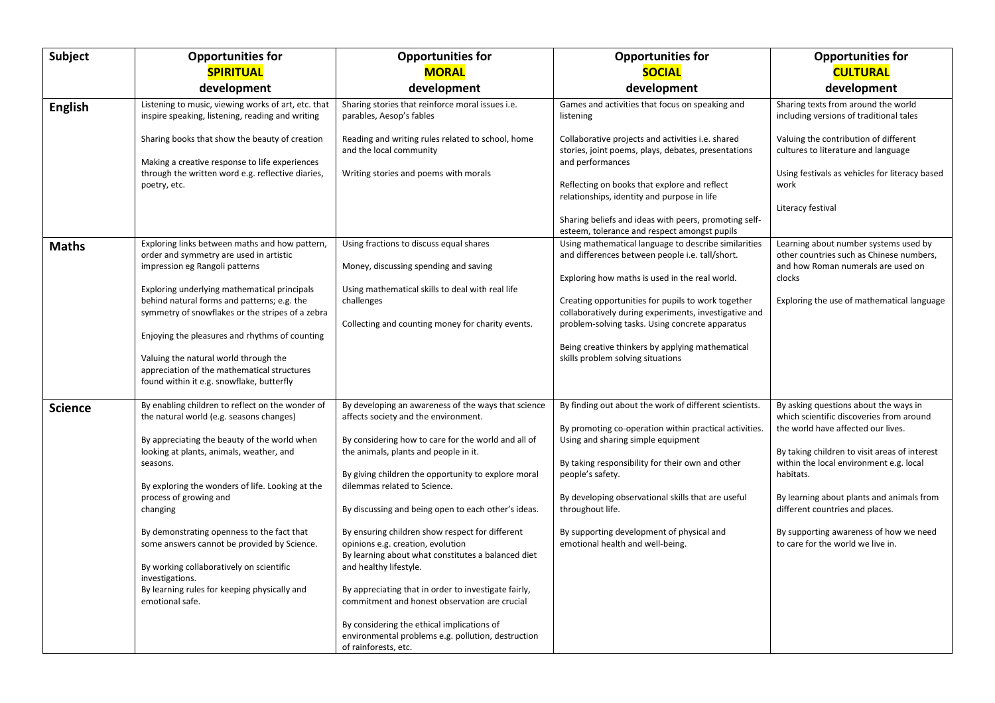| Subject        | <b>Opportunities for</b>                                                                                                                                                                                                                                                                                                                                                                                                                                                                                                      | <b>Opportunities for</b>                                                                                                                                                                                                                                                                                                                                                                                                                                                                                                                                                                                                                                                                                                       | <b>Opportunities for</b>                                                                                                                                                                                                                                                                                                                                                                                             | <b>Opportunities for</b>                                                                                                                                                                                                                                                                                                                                                                        |
|----------------|-------------------------------------------------------------------------------------------------------------------------------------------------------------------------------------------------------------------------------------------------------------------------------------------------------------------------------------------------------------------------------------------------------------------------------------------------------------------------------------------------------------------------------|--------------------------------------------------------------------------------------------------------------------------------------------------------------------------------------------------------------------------------------------------------------------------------------------------------------------------------------------------------------------------------------------------------------------------------------------------------------------------------------------------------------------------------------------------------------------------------------------------------------------------------------------------------------------------------------------------------------------------------|----------------------------------------------------------------------------------------------------------------------------------------------------------------------------------------------------------------------------------------------------------------------------------------------------------------------------------------------------------------------------------------------------------------------|-------------------------------------------------------------------------------------------------------------------------------------------------------------------------------------------------------------------------------------------------------------------------------------------------------------------------------------------------------------------------------------------------|
|                | <b>SPIRITUAL</b>                                                                                                                                                                                                                                                                                                                                                                                                                                                                                                              | <b>MORAL</b>                                                                                                                                                                                                                                                                                                                                                                                                                                                                                                                                                                                                                                                                                                                   | <b>SOCIAL</b>                                                                                                                                                                                                                                                                                                                                                                                                        | <b>CULTURAL</b>                                                                                                                                                                                                                                                                                                                                                                                 |
|                | development                                                                                                                                                                                                                                                                                                                                                                                                                                                                                                                   | development                                                                                                                                                                                                                                                                                                                                                                                                                                                                                                                                                                                                                                                                                                                    | development                                                                                                                                                                                                                                                                                                                                                                                                          | development                                                                                                                                                                                                                                                                                                                                                                                     |
| <b>English</b> | Listening to music, viewing works of art, etc. that<br>inspire speaking, listening, reading and writing<br>Sharing books that show the beauty of creation                                                                                                                                                                                                                                                                                                                                                                     | Sharing stories that reinforce moral issues i.e.<br>parables, Aesop's fables<br>Reading and writing rules related to school, home                                                                                                                                                                                                                                                                                                                                                                                                                                                                                                                                                                                              | Games and activities that focus on speaking and<br>listening<br>Collaborative projects and activities i.e. shared                                                                                                                                                                                                                                                                                                    | Sharing texts from around the world<br>including versions of traditional tales<br>Valuing the contribution of different                                                                                                                                                                                                                                                                         |
|                | Making a creative response to life experiences<br>through the written word e.g. reflective diaries,<br>poetry, etc.                                                                                                                                                                                                                                                                                                                                                                                                           | and the local community<br>Writing stories and poems with morals                                                                                                                                                                                                                                                                                                                                                                                                                                                                                                                                                                                                                                                               | stories, joint poems, plays, debates, presentations<br>and performances<br>Reflecting on books that explore and reflect<br>relationships, identity and purpose in life<br>Sharing beliefs and ideas with peers, promoting self-<br>esteem, tolerance and respect amongst pupils                                                                                                                                      | cultures to literature and language<br>Using festivals as vehicles for literacy based<br>work<br>Literacy festival                                                                                                                                                                                                                                                                              |
| <b>Maths</b>   | Exploring links between maths and how pattern,<br>order and symmetry are used in artistic<br>impression eg Rangoli patterns<br>Exploring underlying mathematical principals<br>behind natural forms and patterns; e.g. the<br>symmetry of snowflakes or the stripes of a zebra<br>Enjoying the pleasures and rhythms of counting<br>Valuing the natural world through the<br>appreciation of the mathematical structures<br>found within it e.g. snowflake, butterfly                                                         | Using fractions to discuss equal shares<br>Money, discussing spending and saving<br>Using mathematical skills to deal with real life<br>challenges<br>Collecting and counting money for charity events.                                                                                                                                                                                                                                                                                                                                                                                                                                                                                                                        | Using mathematical language to describe similarities<br>and differences between people i.e. tall/short.<br>Exploring how maths is used in the real world.<br>Creating opportunities for pupils to work together<br>collaboratively during experiments, investigative and<br>problem-solving tasks. Using concrete apparatus<br>Being creative thinkers by applying mathematical<br>skills problem solving situations | Learning about number systems used by<br>other countries such as Chinese numbers,<br>and how Roman numerals are used on<br>clocks<br>Exploring the use of mathematical language                                                                                                                                                                                                                 |
| Science        | By enabling children to reflect on the wonder of<br>the natural world (e.g. seasons changes)<br>By appreciating the beauty of the world when<br>looking at plants, animals, weather, and<br>seasons.<br>By exploring the wonders of life. Looking at the<br>process of growing and<br>changing<br>By demonstrating openness to the fact that<br>some answers cannot be provided by Science.<br>By working collaboratively on scientific<br>investigations.<br>By learning rules for keeping physically and<br>emotional safe. | By developing an awareness of the ways that science<br>affects society and the environment.<br>By considering how to care for the world and all of<br>the animals, plants and people in it.<br>By giving children the opportunity to explore moral<br>dilemmas related to Science.<br>By discussing and being open to each other's ideas.<br>By ensuring children show respect for different<br>opinions e.g. creation, evolution<br>By learning about what constitutes a balanced diet<br>and healthy lifestyle.<br>By appreciating that in order to investigate fairly,<br>commitment and honest observation are crucial<br>By considering the ethical implications of<br>environmental problems e.g. pollution, destruction | By finding out about the work of different scientists.<br>By promoting co-operation within practical activities.<br>Using and sharing simple equipment<br>By taking responsibility for their own and other<br>people's safety.<br>By developing observational skills that are useful<br>throughout life.<br>By supporting development of physical and<br>emotional health and well-being.                            | By asking questions about the ways in<br>which scientific discoveries from around<br>the world have affected our lives.<br>By taking children to visit areas of interest<br>within the local environment e.g. local<br>habitats.<br>By learning about plants and animals from<br>different countries and places.<br>By supporting awareness of how we need<br>to care for the world we live in. |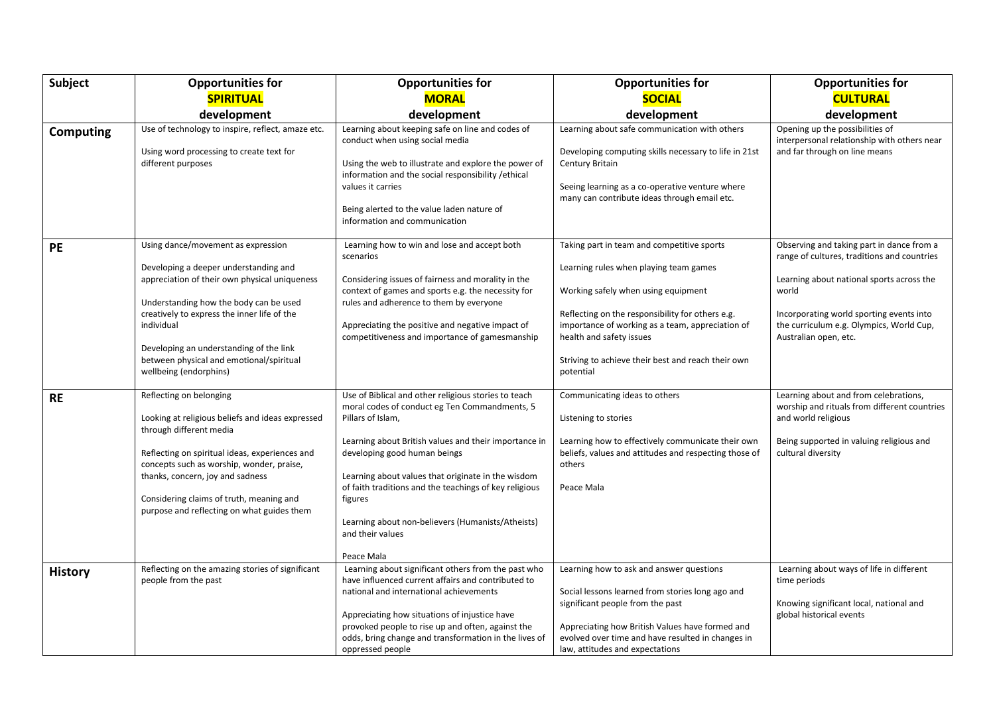| <b>Subject</b>   | <b>Opportunities for</b>                                                                                                                                                                                                                                                                                                                             | <b>Opportunities for</b>                                                                                                                                                                                                                                                                                                                                                                                                              | <b>Opportunities for</b>                                                                                                                                                                                                                                                                                                           | <b>Opportunities for</b>                                                                                                                                                                                                                                        |
|------------------|------------------------------------------------------------------------------------------------------------------------------------------------------------------------------------------------------------------------------------------------------------------------------------------------------------------------------------------------------|---------------------------------------------------------------------------------------------------------------------------------------------------------------------------------------------------------------------------------------------------------------------------------------------------------------------------------------------------------------------------------------------------------------------------------------|------------------------------------------------------------------------------------------------------------------------------------------------------------------------------------------------------------------------------------------------------------------------------------------------------------------------------------|-----------------------------------------------------------------------------------------------------------------------------------------------------------------------------------------------------------------------------------------------------------------|
|                  | <b>SPIRITUAL</b>                                                                                                                                                                                                                                                                                                                                     | <b>MORAL</b>                                                                                                                                                                                                                                                                                                                                                                                                                          | <b>SOCIAL</b>                                                                                                                                                                                                                                                                                                                      | <b>CULTURAL</b>                                                                                                                                                                                                                                                 |
|                  | development                                                                                                                                                                                                                                                                                                                                          | development                                                                                                                                                                                                                                                                                                                                                                                                                           | development                                                                                                                                                                                                                                                                                                                        | development                                                                                                                                                                                                                                                     |
| <b>Computing</b> | Use of technology to inspire, reflect, amaze etc.<br>Using word processing to create text for<br>different purposes                                                                                                                                                                                                                                  | Learning about keeping safe on line and codes of<br>conduct when using social media<br>Using the web to illustrate and explore the power of<br>information and the social responsibility / ethical<br>values it carries<br>Being alerted to the value laden nature of<br>information and communication                                                                                                                                | Learning about safe communication with others<br>Developing computing skills necessary to life in 21st<br>Century Britain<br>Seeing learning as a co-operative venture where<br>many can contribute ideas through email etc.                                                                                                       | Opening up the possibilities of<br>interpersonal relationship with others near<br>and far through on line means                                                                                                                                                 |
| <b>PE</b>        | Using dance/movement as expression<br>Developing a deeper understanding and<br>appreciation of their own physical uniqueness<br>Understanding how the body can be used<br>creatively to express the inner life of the<br>individual<br>Developing an understanding of the link<br>between physical and emotional/spiritual<br>wellbeing (endorphins) | Learning how to win and lose and accept both<br>scenarios<br>Considering issues of fairness and morality in the<br>context of games and sports e.g. the necessity for<br>rules and adherence to them by everyone<br>Appreciating the positive and negative impact of<br>competitiveness and importance of gamesmanship                                                                                                                | Taking part in team and competitive sports<br>Learning rules when playing team games<br>Working safely when using equipment<br>Reflecting on the responsibility for others e.g.<br>importance of working as a team, appreciation of<br>health and safety issues<br>Striving to achieve their best and reach their own<br>potential | Observing and taking part in dance from a<br>range of cultures, traditions and countries<br>Learning about national sports across the<br>world<br>Incorporating world sporting events into<br>the curriculum e.g. Olympics, World Cup,<br>Australian open, etc. |
| RE               | Reflecting on belonging<br>Looking at religious beliefs and ideas expressed<br>through different media<br>Reflecting on spiritual ideas, experiences and<br>concepts such as worship, wonder, praise,<br>thanks, concern, joy and sadness<br>Considering claims of truth, meaning and<br>purpose and reflecting on what guides them                  | Use of Biblical and other religious stories to teach<br>moral codes of conduct eg Ten Commandments, 5<br>Pillars of Islam,<br>Learning about British values and their importance in<br>developing good human beings<br>Learning about values that originate in the wisdom<br>of faith traditions and the teachings of key religious<br>figures<br>Learning about non-believers (Humanists/Atheists)<br>and their values<br>Peace Mala | Communicating ideas to others<br>Listening to stories<br>Learning how to effectively communicate their own<br>beliefs, values and attitudes and respecting those of<br>others<br>Peace Mala                                                                                                                                        | Learning about and from celebrations,<br>worship and rituals from different countries<br>and world religious<br>Being supported in valuing religious and<br>cultural diversity                                                                                  |
| <b>History</b>   | Reflecting on the amazing stories of significant<br>people from the past                                                                                                                                                                                                                                                                             | Learning about significant others from the past who<br>have influenced current affairs and contributed to<br>national and international achievements<br>Appreciating how situations of injustice have<br>provoked people to rise up and often, against the<br>odds, bring change and transformation in the lives of<br>oppressed people                                                                                               | Learning how to ask and answer questions<br>Social lessons learned from stories long ago and<br>significant people from the past<br>Appreciating how British Values have formed and<br>evolved over time and have resulted in changes in<br>law, attitudes and expectations                                                        | Learning about ways of life in different<br>time periods<br>Knowing significant local, national and<br>global historical events                                                                                                                                 |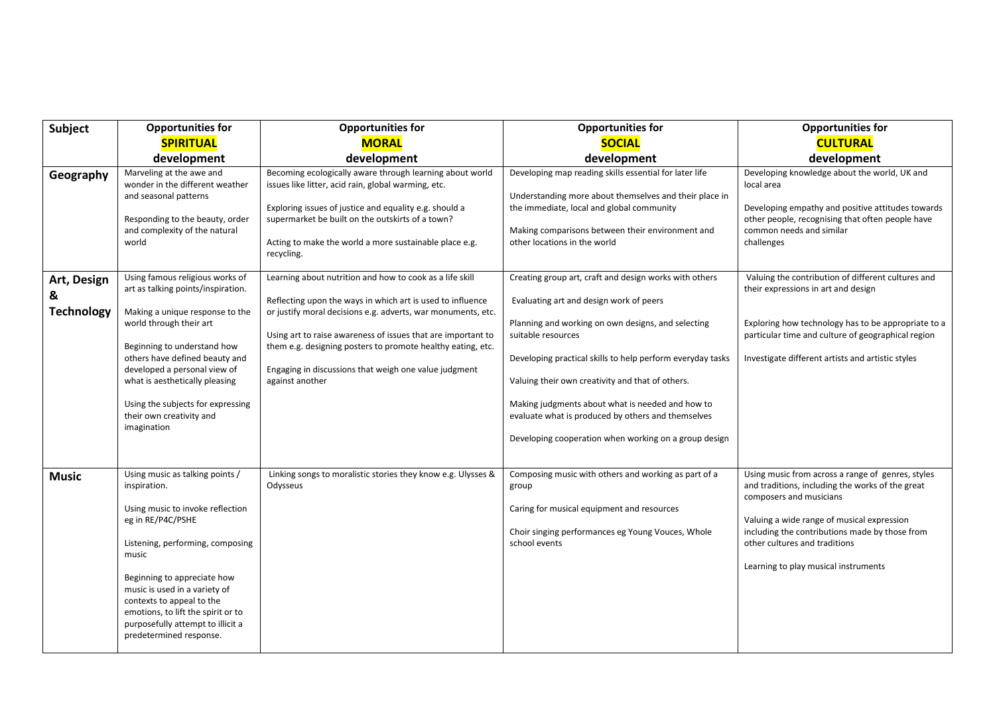| <b>Subject</b>                        | <b>Opportunities for</b>                                                                                                                                                                                                                                                                                                                                 | <b>Opportunities for</b>                                                                                                                                                                                                                                                                                                                                                                          | <b>Opportunities for</b>                                                                                                                                                                                                                                                                                                                                                                                                                                           | <b>Opportunities for</b>                                                                                                                                                                                                                                                                                  |
|---------------------------------------|----------------------------------------------------------------------------------------------------------------------------------------------------------------------------------------------------------------------------------------------------------------------------------------------------------------------------------------------------------|---------------------------------------------------------------------------------------------------------------------------------------------------------------------------------------------------------------------------------------------------------------------------------------------------------------------------------------------------------------------------------------------------|--------------------------------------------------------------------------------------------------------------------------------------------------------------------------------------------------------------------------------------------------------------------------------------------------------------------------------------------------------------------------------------------------------------------------------------------------------------------|-----------------------------------------------------------------------------------------------------------------------------------------------------------------------------------------------------------------------------------------------------------------------------------------------------------|
|                                       | <b>SPIRITUAL</b>                                                                                                                                                                                                                                                                                                                                         | <b>MORAL</b>                                                                                                                                                                                                                                                                                                                                                                                      | <b>SOCIAL</b>                                                                                                                                                                                                                                                                                                                                                                                                                                                      | <b>CULTURAL</b>                                                                                                                                                                                                                                                                                           |
|                                       | development                                                                                                                                                                                                                                                                                                                                              | development                                                                                                                                                                                                                                                                                                                                                                                       | development                                                                                                                                                                                                                                                                                                                                                                                                                                                        | development                                                                                                                                                                                                                                                                                               |
| Geography                             | Marveling at the awe and<br>wonder in the different weather<br>and seasonal patterns<br>Responding to the beauty, order<br>and complexity of the natural<br>world                                                                                                                                                                                        | Becoming ecologically aware through learning about world<br>issues like litter, acid rain, global warming, etc.<br>Exploring issues of justice and equality e.g. should a<br>supermarket be built on the outskirts of a town?<br>Acting to make the world a more sustainable place e.g.<br>recycling.                                                                                             | Developing map reading skills essential for later life<br>Understanding more about themselves and their place in<br>the immediate, local and global community<br>Making comparisons between their environment and<br>other locations in the world                                                                                                                                                                                                                  | Developing knowledge about the world, UK and<br>local area<br>Developing empathy and positive attitudes towards<br>other people, recognising that often people have<br>common needs and similar<br>challenges                                                                                             |
| Art, Design<br>8<br><b>Technology</b> | Using famous religious works of<br>art as talking points/inspiration.<br>Making a unique response to the<br>world through their art<br>Beginning to understand how<br>others have defined beauty and<br>developed a personal view of<br>what is aesthetically pleasing<br>Using the subjects for expressing<br>their own creativity and<br>imagination   | Learning about nutrition and how to cook as a life skill<br>Reflecting upon the ways in which art is used to influence<br>or justify moral decisions e.g. adverts, war monuments, etc.<br>Using art to raise awareness of issues that are important to<br>them e.g. designing posters to promote healthy eating, etc.<br>Engaging in discussions that weigh one value judgment<br>against another | Creating group art, craft and design works with others<br>Evaluating art and design work of peers<br>Planning and working on own designs, and selecting<br>suitable resources<br>Developing practical skills to help perform everyday tasks<br>Valuing their own creativity and that of others.<br>Making judgments about what is needed and how to<br>evaluate what is produced by others and themselves<br>Developing cooperation when working on a group design | Valuing the contribution of different cultures and<br>their expressions in art and design<br>Exploring how technology has to be appropriate to a<br>particular time and culture of geographical region<br>Investigate different artists and artistic styles                                               |
| <b>Music</b>                          | Using music as talking points /<br>inspiration.<br>Using music to invoke reflection<br>eg in RE/P4C/PSHE<br>Listening, performing, composing<br>music<br>Beginning to appreciate how<br>music is used in a variety of<br>contexts to appeal to the<br>emotions, to lift the spirit or to<br>purposefully attempt to illicit a<br>predetermined response. | Linking songs to moralistic stories they know e.g. Ulysses &<br>Odysseus                                                                                                                                                                                                                                                                                                                          | Composing music with others and working as part of a<br>group<br>Caring for musical equipment and resources<br>Choir singing performances eg Young Vouces, Whole<br>school events                                                                                                                                                                                                                                                                                  | Using music from across a range of genres, styles<br>and traditions, including the works of the great<br>composers and musicians<br>Valuing a wide range of musical expression<br>including the contributions made by those from<br>other cultures and traditions<br>Learning to play musical instruments |